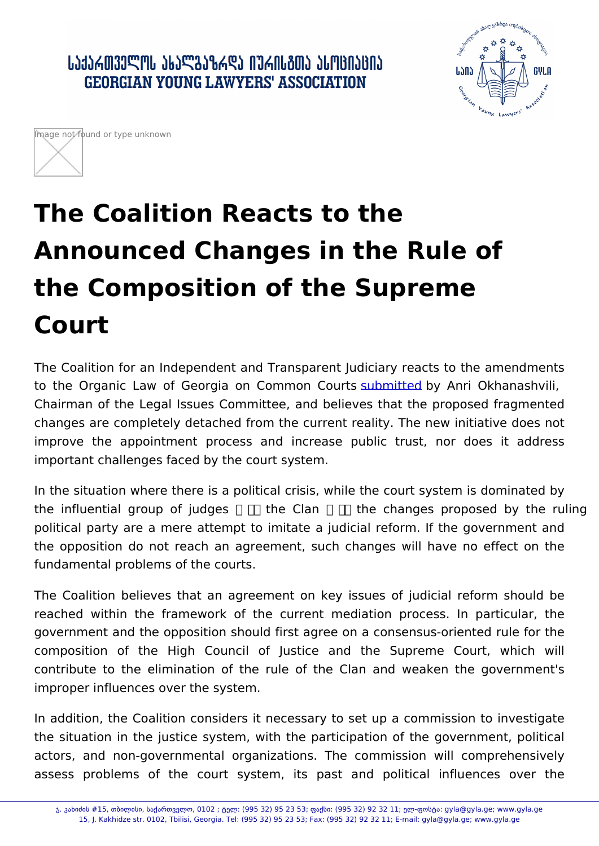## The Coalition Reacts to the Announced Changes in the Rule of the Composition of the Supreme Court

The Coalition for an Independent and Transparent Judiciary reacts to the Organic Law of Georgia on Cubbnamitatrebby CoAurritis Okhanashvili Chairman of the Legal Issues Committee, and believes that the p changes are completely detached from the current reality. The new improve the appointment process [and in](http://www.parliament.ge/ge/saparlamento-saqmianoba/komitetebi/iuridiul-sakitxta-komiteti-146/axali-ambebi-iuridiuli/fi000002.page.htm)crease public trust, important challenges faced by the court system.

In the situation where there is a political crisis, while the court sy the influential group of judges the Clan the changes pro political party are a mere attempt to imitate a judicial reform. If the opposition do not reach an agreement, such changes will h fundamental problems of the courts.

The Coalition believes that an agreement on key issues of judi reached within the framework of the current mediation proces government and the opposition should first agree on a consensuscomposition of the High Council of Justice and the Supr contribute to the elimination of the rule of the Clan and weal improper influences over the system.

In addition, the Coalition considers it necessary to set up a commi the situation in the justice system, with the participation of the actors, and non-governmental organizations. The commission **v** assess problems of the court system, its past and politic